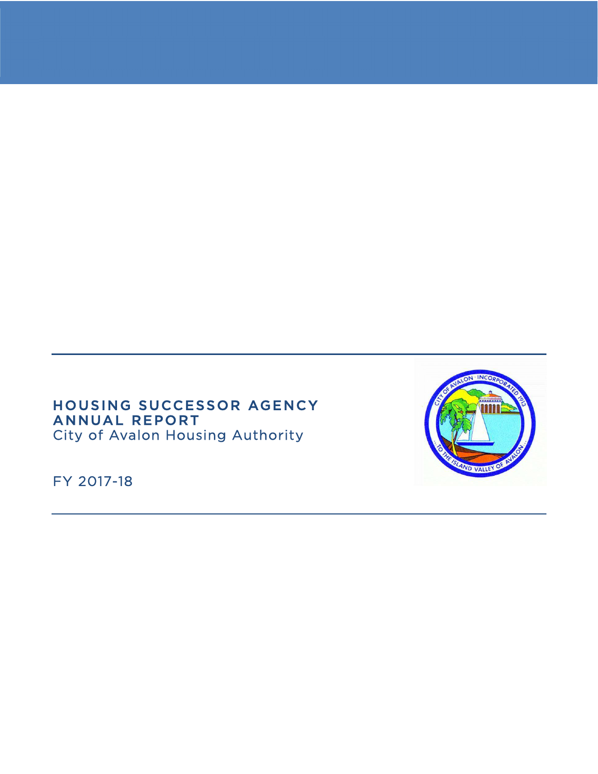# HOUSING SUCCESSOR AGENCY ANNUAL REPORT City of Avalon Housing Authority

FY 2017-18

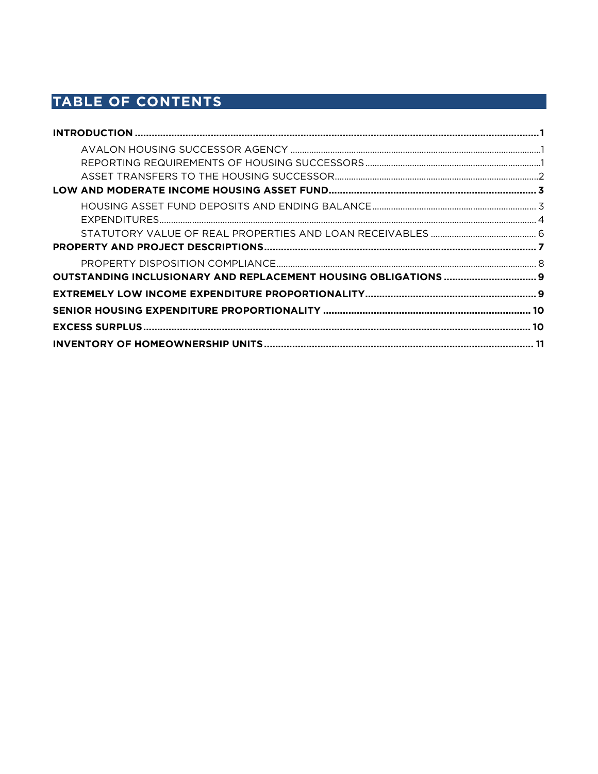# TABLE OF CONTENTS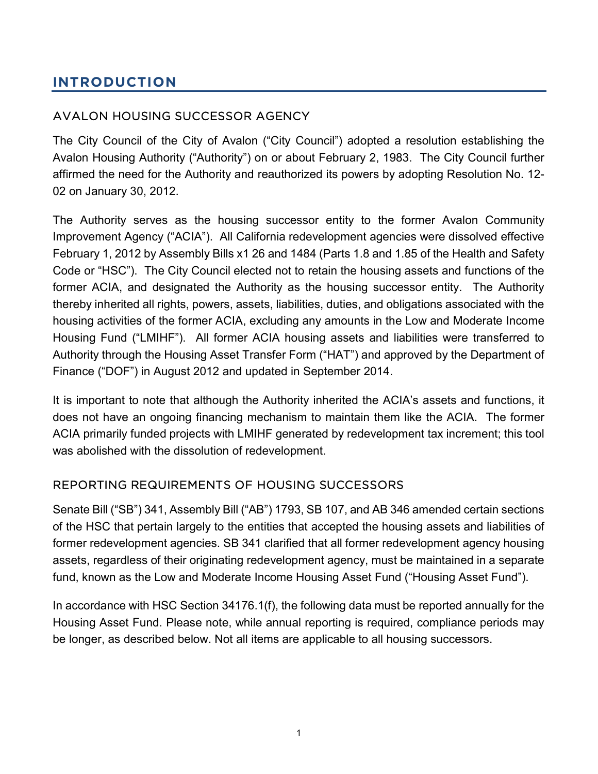# INTRODUCTION

# AVALON HOUSING SUCCESSOR AGENCY

The City Council of the City of Avalon ("City Council") adopted a resolution establishing the Avalon Housing Authority ("Authority") on or about February 2, 1983. The City Council further affirmed the need for the Authority and reauthorized its powers by adopting Resolution No. 12- 02 on January 30, 2012.

The Authority serves as the housing successor entity to the former Avalon Community Improvement Agency ("ACIA"). All California redevelopment agencies were dissolved effective February 1, 2012 by Assembly Bills x1 26 and 1484 (Parts 1.8 and 1.85 of the Health and Safety Code or "HSC"). The City Council elected not to retain the housing assets and functions of the former ACIA, and designated the Authority as the housing successor entity. The Authority thereby inherited all rights, powers, assets, liabilities, duties, and obligations associated with the housing activities of the former ACIA, excluding any amounts in the Low and Moderate Income Housing Fund ("LMIHF"). All former ACIA housing assets and liabilities were transferred to Authority through the Housing Asset Transfer Form ("HAT") and approved by the Department of Finance ("DOF") in August 2012 and updated in September 2014.

It is important to note that although the Authority inherited the ACIA's assets and functions, it does not have an ongoing financing mechanism to maintain them like the ACIA. The former ACIA primarily funded projects with LMIHF generated by redevelopment tax increment; this tool was abolished with the dissolution of redevelopment.

### REPORTING REQUIREMENTS OF HOUSING SUCCESSORS

Senate Bill ("SB") 341, Assembly Bill ("AB") 1793, SB 107, and AB 346 amended certain sections of the HSC that pertain largely to the entities that accepted the housing assets and liabilities of former redevelopment agencies. SB 341 clarified that all former redevelopment agency housing assets, regardless of their originating redevelopment agency, must be maintained in a separate fund, known as the Low and Moderate Income Housing Asset Fund ("Housing Asset Fund").

In accordance with HSC Section 34176.1(f), the following data must be reported annually for the Housing Asset Fund. Please note, while annual reporting is required, compliance periods may be longer, as described below. Not all items are applicable to all housing successors.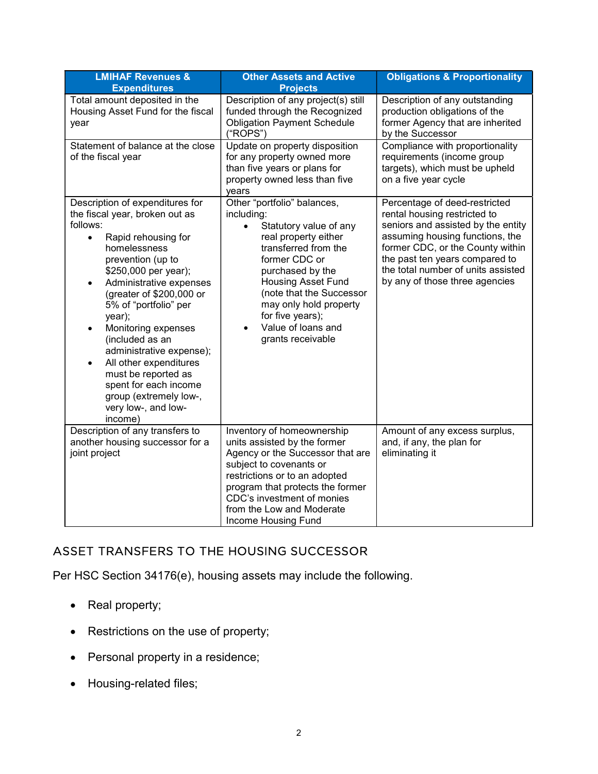| <b>LMIHAF Revenues &amp;</b><br><b>Expenditures</b>                                                                                                                                                                                                                                                                                                                                                                                                                                                            | <b>Other Assets and Active</b><br><b>Projects</b>                                                                                                                                                                                                                                                                                    | <b>Obligations &amp; Proportionality</b>                                                                                                                                                                                                                                             |
|----------------------------------------------------------------------------------------------------------------------------------------------------------------------------------------------------------------------------------------------------------------------------------------------------------------------------------------------------------------------------------------------------------------------------------------------------------------------------------------------------------------|--------------------------------------------------------------------------------------------------------------------------------------------------------------------------------------------------------------------------------------------------------------------------------------------------------------------------------------|--------------------------------------------------------------------------------------------------------------------------------------------------------------------------------------------------------------------------------------------------------------------------------------|
| Total amount deposited in the<br>Housing Asset Fund for the fiscal<br>year                                                                                                                                                                                                                                                                                                                                                                                                                                     | Description of any project(s) still<br>funded through the Recognized<br><b>Obligation Payment Schedule</b><br>("ROPS")                                                                                                                                                                                                               | Description of any outstanding<br>production obligations of the<br>former Agency that are inherited<br>by the Successor                                                                                                                                                              |
| Statement of balance at the close<br>of the fiscal year                                                                                                                                                                                                                                                                                                                                                                                                                                                        | Update on property disposition<br>for any property owned more<br>than five years or plans for<br>property owned less than five<br>vears                                                                                                                                                                                              | Compliance with proportionality<br>requirements (income group<br>targets), which must be upheld<br>on a five year cycle                                                                                                                                                              |
| Description of expenditures for<br>the fiscal year, broken out as<br>follows:<br>Rapid rehousing for<br>$\bullet$<br>homelessness<br>prevention (up to<br>\$250,000 per year);<br>Administrative expenses<br>(greater of \$200,000 or<br>5% of "portfolio" per<br>year);<br>Monitoring expenses<br>$\bullet$<br>(included as an<br>administrative expense);<br>All other expenditures<br>$\bullet$<br>must be reported as<br>spent for each income<br>group (extremely low-,<br>very low-, and low-<br>income) | Other "portfolio" balances,<br>including:<br>Statutory value of any<br>$\bullet$<br>real property either<br>transferred from the<br>former CDC or<br>purchased by the<br><b>Housing Asset Fund</b><br>(note that the Successor<br>may only hold property<br>for five years);<br>Value of loans and<br>$\bullet$<br>grants receivable | Percentage of deed-restricted<br>rental housing restricted to<br>seniors and assisted by the entity<br>assuming housing functions, the<br>former CDC, or the County within<br>the past ten years compared to<br>the total number of units assisted<br>by any of those three agencies |
| Description of any transfers to<br>another housing successor for a<br>joint project                                                                                                                                                                                                                                                                                                                                                                                                                            | Inventory of homeownership<br>units assisted by the former<br>Agency or the Successor that are<br>subject to covenants or<br>restrictions or to an adopted<br>program that protects the former<br>CDC's investment of monies<br>from the Low and Moderate<br>Income Housing Fund                                                     | Amount of any excess surplus,<br>and, if any, the plan for<br>eliminating it                                                                                                                                                                                                         |

# ASSET TRANSFERS TO THE HOUSING SUCCESSOR

Per HSC Section 34176(e), housing assets may include the following.

- Real property;
- Restrictions on the use of property;
- Personal property in a residence;
- Housing-related files;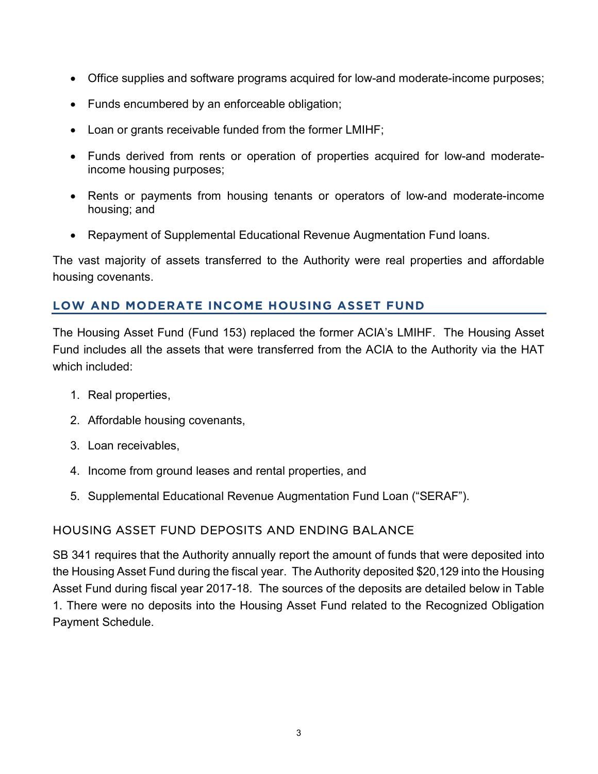- Office supplies and software programs acquired for low-and moderate-income purposes;
- Funds encumbered by an enforceable obligation;
- Loan or grants receivable funded from the former LMIHF;
- Funds derived from rents or operation of properties acquired for low-and moderateincome housing purposes;
- Rents or payments from housing tenants or operators of low-and moderate-income housing; and
- Repayment of Supplemental Educational Revenue Augmentation Fund loans.

The vast majority of assets transferred to the Authority were real properties and affordable housing covenants.

### LOW AND MODERATE INCOME HOUSING ASSET FUND

The Housing Asset Fund (Fund 153) replaced the former ACIA's LMIHF. The Housing Asset Fund includes all the assets that were transferred from the ACIA to the Authority via the HAT which included:

- 1. Real properties,
- 2. Affordable housing covenants,
- 3. Loan receivables,
- 4. Income from ground leases and rental properties, and
- 5. Supplemental Educational Revenue Augmentation Fund Loan ("SERAF").

# HOUSING ASSET FUND DEPOSITS AND ENDING BALANCE

SB 341 requires that the Authority annually report the amount of funds that were deposited into the Housing Asset Fund during the fiscal year. The Authority deposited \$20,129 into the Housing Asset Fund during fiscal year 2017-18. The sources of the deposits are detailed below in Table 1. There were no deposits into the Housing Asset Fund related to the Recognized Obligation Payment Schedule.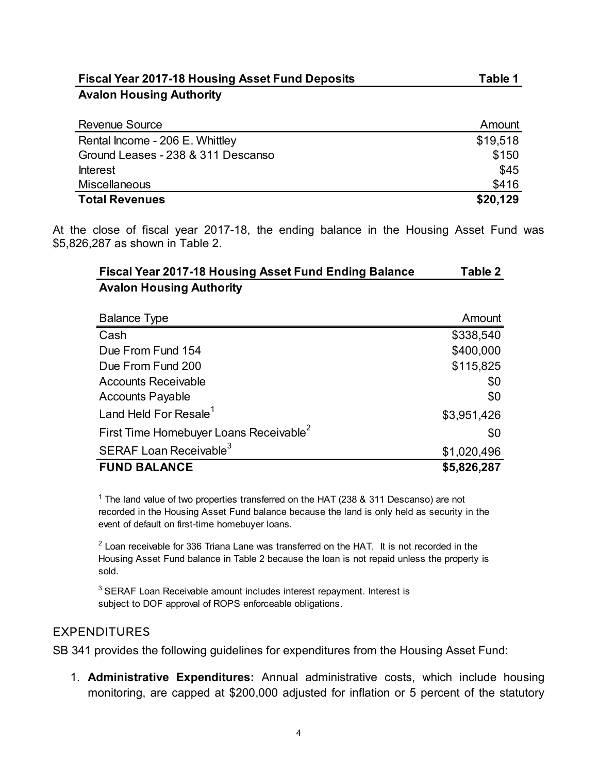| <b>Fiscal Year 2017-18 Housing Asset Fund Deposits</b>                                                             | Table 1   |
|--------------------------------------------------------------------------------------------------------------------|-----------|
| <b>Avalon Housing Authority</b>                                                                                    |           |
|                                                                                                                    |           |
| <b>Revenue Source</b>                                                                                              | Amount    |
| Rental Income - 206 E. Whittley                                                                                    | \$19,518  |
| Ground Leases - 238 & 311 Descanso                                                                                 | \$150     |
| <b>Interest</b>                                                                                                    | \$45      |
| Miscellaneous                                                                                                      | \$416     |
| <b>Total Revenues</b>                                                                                              | \$20,129  |
| the close of fiscal year 2017-18, the ending balance in the Housing Asset Fund was<br>826,287 as shown in Table 2. |           |
| Fiscal Year 2017-18 Housing Asset Fund Ending Balance                                                              | Table 2   |
| <b>Avalon Housing Authority</b>                                                                                    |           |
| <b>Balance Type</b>                                                                                                | Amount    |
| Cash                                                                                                               | \$338,540 |
| Due From Fund 154                                                                                                  | \$400,000 |
| Due From Fund 200                                                                                                  | \$115,825 |
| <b>Accounts Receivable</b>                                                                                         | \$0       |
|                                                                                                                    |           |

| <b>Fiscal Year 2017-18 Housing Asset Fund Ending Balance</b> | Table 2 |
|--------------------------------------------------------------|---------|
| <b>Avalon Housing Authority</b>                              |         |

| enue Source                                                                                                | Amount      |
|------------------------------------------------------------------------------------------------------------|-------------|
| ntal Income - 206 E. Whittley                                                                              | \$19,518    |
| und Leases - 238 & 311 Descanso                                                                            | \$150       |
| rest                                                                                                       | \$45        |
| cellaneous                                                                                                 | \$416       |
| al Revenues                                                                                                | \$20,129    |
| close of fiscal year 2017-18, the ending balance in the Housing Asset Fund was<br>287 as shown in Table 2. |             |
| Fiscal Year 2017-18 Housing Asset Fund Ending Balance                                                      | Table 2     |
| <b>Avalon Housing Authority</b>                                                                            |             |
| <b>Balance Type</b>                                                                                        | Amount      |
| Cash                                                                                                       | \$338,540   |
| Due From Fund 154                                                                                          | \$400,000   |
| Due From Fund 200                                                                                          | \$115,825   |
| <b>Accounts Receivable</b>                                                                                 | \$0         |
| <b>Accounts Payable</b>                                                                                    | \$0         |
|                                                                                                            |             |
| Land Held For Resale <sup>1</sup>                                                                          | \$3,951,426 |
| First Time Homebuyer Loans Receivable <sup>2</sup>                                                         | \$0         |
| SERAF Loan Receivable <sup>3</sup>                                                                         | \$1,020,496 |

 $^{\text{2}}$  Loan receivable for 336 Triana Lane was transferred on the HAT. It is not recorded in the Housing Asset Fund balance in Table 2 because the loan is not repaid unless the property is sold.

<sup>3</sup> SERAF Loan Receivable amount includes interest repayment. Interest is subject to DOF approval of ROPS enforceable obligations.

## EXPENDITURES

SB 341 provides the following guidelines for expenditures from the Housing Asset Fund:

1. Administrative Expenditures: Annual administrative costs, which include housing monitoring, are capped at \$200,000 adjusted for inflation or 5 percent of the statutory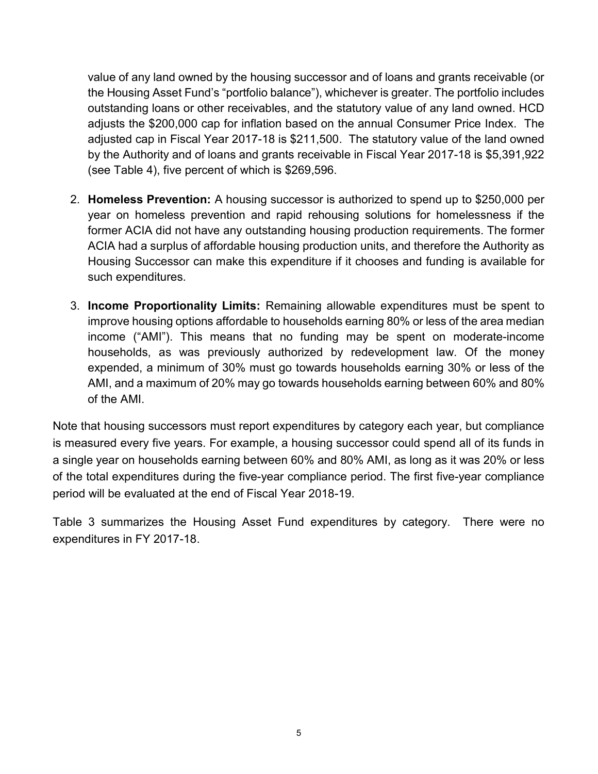value of any land owned by the housing successor and of loans and grants receivable (or the Housing Asset Fund's "portfolio balance"), whichever is greater. The portfolio includes outstanding loans or other receivables, and the statutory value of any land owned. HCD adjusts the \$200,000 cap for inflation based on the annual Consumer Price Index. The adjusted cap in Fiscal Year 2017-18 is \$211,500. The statutory value of the land owned by the Authority and of loans and grants receivable in Fiscal Year 2017-18 is \$5,391,922 (see Table 4), five percent of which is \$269,596.

- 2. Homeless Prevention: A housing successor is authorized to spend up to \$250,000 per year on homeless prevention and rapid rehousing solutions for homelessness if the former ACIA did not have any outstanding housing production requirements. The former ACIA had a surplus of affordable housing production units, and therefore the Authority as Housing Successor can make this expenditure if it chooses and funding is available for such expenditures.
- 3. Income Proportionality Limits: Remaining allowable expenditures must be spent to improve housing options affordable to households earning 80% or less of the area median income ("AMI"). This means that no funding may be spent on moderate-income households, as was previously authorized by redevelopment law. Of the money expended, a minimum of 30% must go towards households earning 30% or less of the AMI, and a maximum of 20% may go towards households earning between 60% and 80% of the AMI.

Note that housing successors must report expenditures by category each year, but compliance is measured every five years. For example, a housing successor could spend all of its funds in a single year on households earning between 60% and 80% AMI, as long as it was 20% or less of the total expenditures during the five-year compliance period. The first five-year compliance period will be evaluated at the end of Fiscal Year 2018-19.

Table 3 summarizes the Housing Asset Fund expenditures by category. There were no expenditures in FY 2017-18.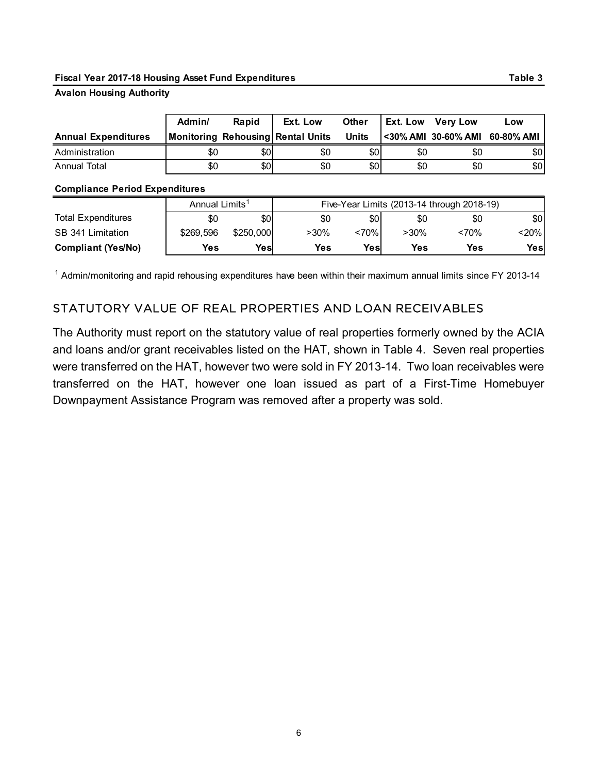#### Fiscal Year 2017-18 Housing Asset Fund Expenditures Table 3 and 2017-18 Housing Asset Fund Expenditures

#### Avalon Housing Authority

| Fiscal Year 2017-18 Housing Asset Fund Expenditures                |                                   |       |                                   |              |          |                                                   |         |
|--------------------------------------------------------------------|-----------------------------------|-------|-----------------------------------|--------------|----------|---------------------------------------------------|---------|
|                                                                    |                                   |       |                                   |              |          |                                                   | Table 3 |
| <b>Avalon Housing Authority</b>                                    |                                   |       |                                   |              |          |                                                   |         |
|                                                                    | Admin/                            |       | Ext. Low                          | Other        |          |                                                   | Low     |
| <b>Annual Expenditures</b>                                         |                                   | Rapid | Monitoring Rehousing Rental Units | <b>Units</b> | Ext. Low | <b>Very Low</b><br><30% AMI 30-60% AMI 60-80% AMI |         |
| Administration                                                     | \$0                               | \$0   | \$0                               | \$0          | \$0      | \$0                                               | \$0     |
| <b>Annual Total</b>                                                | \$0                               | \$0   | \$0                               | \$0          | \$0      | \$0                                               | \$0     |
|                                                                    |                                   |       |                                   |              |          |                                                   |         |
|                                                                    |                                   |       |                                   |              |          |                                                   |         |
| <b>Compliance Period Expenditures</b><br><b>Total Expenditures</b> | Annual Limits <sup>1</sup><br>\$0 | \$0   | \$0                               | \$0          | \$0      | Five-Year Limits (2013-14 through 2018-19)<br>\$0 | \$0     |

#### Compliance Period Expenditures

| Fiscal Year 2017-18 Housing Asset Fund Expenditures |                            |           |                                   |              |         |                                            | Table 3    |
|-----------------------------------------------------|----------------------------|-----------|-----------------------------------|--------------|---------|--------------------------------------------|------------|
| <b>Avalon Housing Authority</b>                     |                            |           |                                   |              |         |                                            |            |
|                                                     |                            |           |                                   |              |         |                                            |            |
|                                                     | Admin/                     | Rapid     | Ext. Low                          | Other        |         | Ext. Low Very Low                          | Low        |
| <b>Annual Expenditures</b>                          |                            |           | Monitoring Rehousing Rental Units | <b>Units</b> |         | <30% AMI 30-60% AMI                        | 60-80% AMI |
| Administration                                      | \$0                        | \$0       | \$0                               | \$0          | \$0     | \$0                                        | \$0        |
| <b>Annual Total</b>                                 | \$0                        | \$0       | \$0                               | \$0          | \$0     | \$0                                        | \$0        |
| <b>Compliance Period Expenditures</b>               |                            |           |                                   |              |         |                                            |            |
|                                                     | Annual Limits <sup>1</sup> |           |                                   |              |         | Five-Year Limits (2013-14 through 2018-19) |            |
| <b>Total Expenditures</b>                           | \$0                        | \$0       | \$0                               | \$0          | \$0     | \$0                                        | \$0        |
| SB 341 Limitation                                   | \$269,596                  | \$250,000 | $>30\%$                           | ~170%        | $>30\%$ | < 70%                                      | < 20%      |
| <b>Compliant (Yes/No)</b>                           | <b>Yes</b>                 | Yes       | Yes                               | Yes          | Yes     | <b>Yes</b>                                 | Yes        |
|                                                     |                            |           |                                   |              |         |                                            |            |

## STATUTORY VALUE OF REAL PROPERTIES AND LOAN RECEIVABLES

The Authority must report on the statutory value of real properties formerly owned by the ACIA and loans and/or grant receivables listed on the HAT, shown in Table 4. Seven real properties were transferred on the HAT, however two were sold in FY 2013-14. Two loan receivables were transferred on the HAT, however one loan issued as part of a First-Time Homebuyer Downpayment Assistance Program was removed after a property was sold.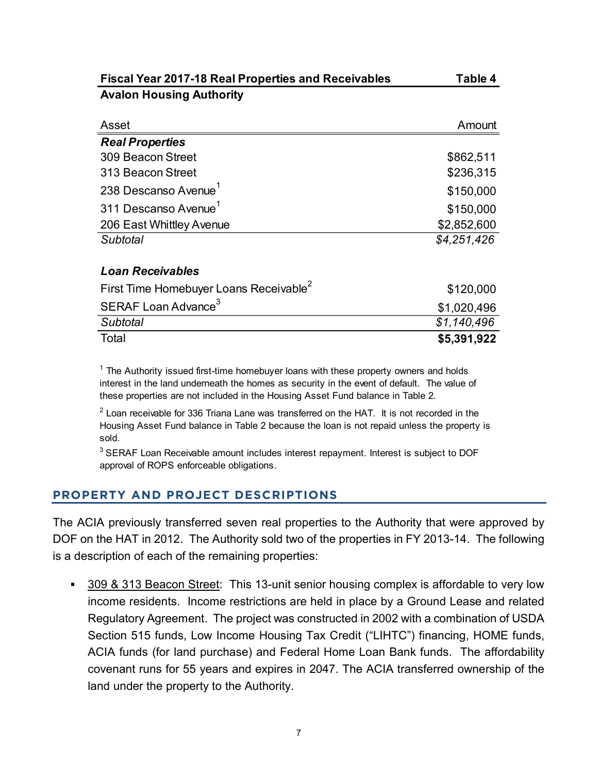| <b>Fiscal Year 2017-18 Real Properties and Receivables</b> | Table 4                    |
|------------------------------------------------------------|----------------------------|
| <b>Avalon Housing Authority</b>                            |                            |
|                                                            |                            |
| Asset                                                      | Amount                     |
| <b>Real Properties</b>                                     |                            |
|                                                            |                            |
| 309 Beacon Street                                          | \$862,511                  |
| 313 Beacon Street                                          | \$236,315                  |
| 238 Descanso Avenue <sup>1</sup>                           | \$150,000                  |
| 311 Descanso Avenue <sup>1</sup>                           | \$150,000                  |
| 206 East Whittley Avenue                                   | \$2,852,600                |
| <b>Subtotal</b>                                            | \$4,251,426                |
|                                                            |                            |
| <b>Loan Receivables</b>                                    |                            |
| First Time Homebuyer Loans Receivable <sup>2</sup>         | \$120,000                  |
| SERAF Loan Advance <sup>3</sup>                            | \$1,020,496                |
| Subtotal<br>Total                                          | \$1,140,496<br>\$5,391,922 |

 $^{\text{1}}$  The Authority issued first-time homebuyer loans with these property owners and holds interest in the land underneath the homes as security in the event of default. The value of these properties are not included in the Housing Asset Fund balance in Table 2.

 $^{\rm 2}$  Loan receivable for 336 Triana Lane was transferred on the HAT. It is not recorded in the Housing Asset Fund balance in Table 2 because the loan is not repaid unless the property is sold.

<sup>3</sup> SERAF Loan Receivable amount includes interest repayment. Interest is subject to DOF approval of ROPS enforceable obligations.

### PROPERTY AND PROJECT DESCRIPTIONS

The ACIA previously transferred seven real properties to the Authority that were approved by DOF on the HAT in 2012. The Authority sold two of the properties in FY 2013-14. The following is a description of each of the remaining properties:

 309 & 313 Beacon Street: This 13-unit senior housing complex is affordable to very low income residents. Income restrictions are held in place by a Ground Lease and related Regulatory Agreement. The project was constructed in 2002 with a combination of USDA Section 515 funds, Low Income Housing Tax Credit ("LIHTC") financing, HOME funds, ACIA funds (for land purchase) and Federal Home Loan Bank funds. The affordability covenant runs for 55 years and expires in 2047. The ACIA transferred ownership of the land under the property to the Authority.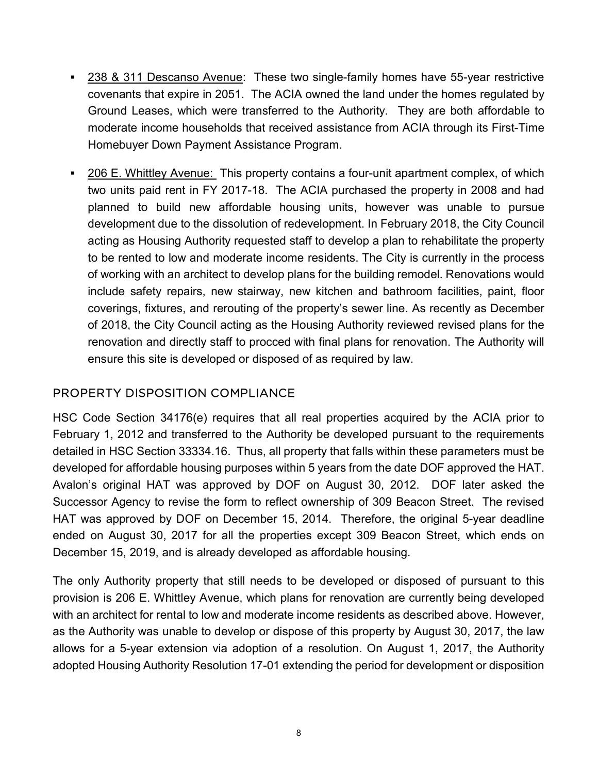- 238 & 311 Descanso Avenue: These two single-family homes have 55-year restrictive covenants that expire in 2051. The ACIA owned the land under the homes regulated by Ground Leases, which were transferred to the Authority. They are both affordable to moderate income households that received assistance from ACIA through its First-Time Homebuyer Down Payment Assistance Program.
- 206 E. Whittley Avenue: This property contains a four-unit apartment complex, of which two units paid rent in FY 2017-18. The ACIA purchased the property in 2008 and had planned to build new affordable housing units, however was unable to pursue development due to the dissolution of redevelopment. In February 2018, the City Council acting as Housing Authority requested staff to develop a plan to rehabilitate the property to be rented to low and moderate income residents. The City is currently in the process of working with an architect to develop plans for the building remodel. Renovations would include safety repairs, new stairway, new kitchen and bathroom facilities, paint, floor coverings, fixtures, and rerouting of the property's sewer line. As recently as December of 2018, the City Council acting as the Housing Authority reviewed revised plans for the renovation and directly staff to procced with final plans for renovation. The Authority will ensure this site is developed or disposed of as required by law.

# PROPERTY DISPOSITION COMPLIANCE

HSC Code Section 34176(e) requires that all real properties acquired by the ACIA prior to February 1, 2012 and transferred to the Authority be developed pursuant to the requirements detailed in HSC Section 33334.16. Thus, all property that falls within these parameters must be developed for affordable housing purposes within 5 years from the date DOF approved the HAT. Avalon's original HAT was approved by DOF on August 30, 2012. DOF later asked the Successor Agency to revise the form to reflect ownership of 309 Beacon Street. The revised HAT was approved by DOF on December 15, 2014. Therefore, the original 5-year deadline ended on August 30, 2017 for all the properties except 309 Beacon Street, which ends on December 15, 2019, and is already developed as affordable housing.

The only Authority property that still needs to be developed or disposed of pursuant to this provision is 206 E. Whittley Avenue, which plans for renovation are currently being developed with an architect for rental to low and moderate income residents as described above. However, as the Authority was unable to develop or dispose of this property by August 30, 2017, the law allows for a 5-year extension via adoption of a resolution. On August 1, 2017, the Authority adopted Housing Authority Resolution 17-01 extending the period for development or disposition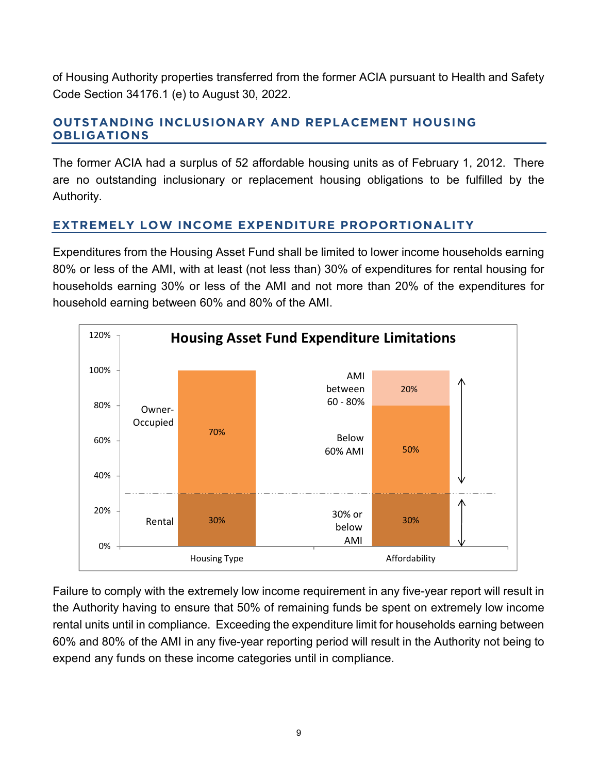of Housing Authority properties transferred from the former ACIA pursuant to Health and Safety Code Section 34176.1 (e) to August 30, 2022.

# OUTSTANDING INCLUSIONARY AND REPLACEMENT HOUSING OBLIGATIONS

The former ACIA had a surplus of 52 affordable housing units as of February 1, 2012. There are no outstanding inclusionary or replacement housing obligations to be fulfilled by the Authority.

# EXTREMELY LOW INCOME EXPENDITURE PROPORTIONALITY

Expenditures from the Housing Asset Fund shall be limited to lower income households earning 80% or less of the AMI, with at least (not less than) 30% of expenditures for rental housing for households earning 30% or less of the AMI and not more than 20% of the expenditures for household earning between 60% and 80% of the AMI.



Failure to comply with the extremely low income requirement in any five-year report will result in the Authority having to ensure that 50% of remaining funds be spent on extremely low income rental units until in compliance. Exceeding the expenditure limit for households earning between 60% and 80% of the AMI in any five-year reporting period will result in the Authority not being to expend any funds on these income categories until in compliance.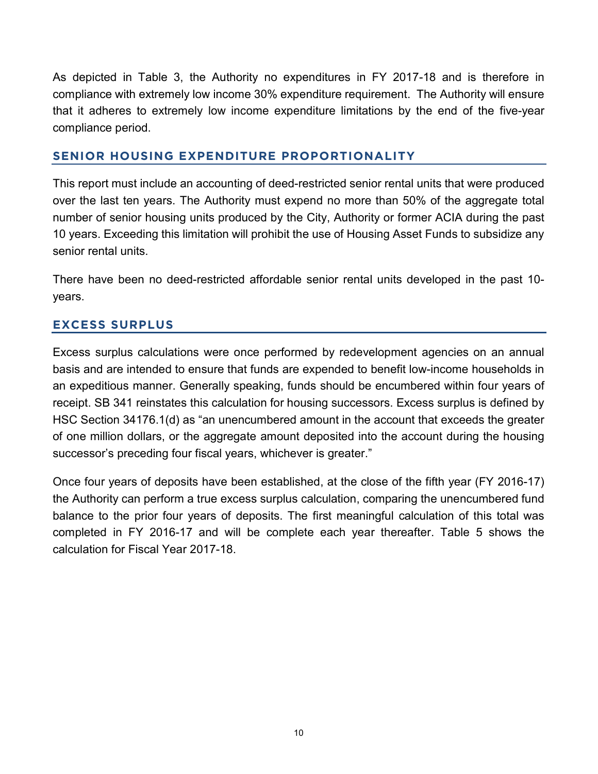As depicted in Table 3, the Authority no expenditures in FY 2017-18 and is therefore in compliance with extremely low income 30% expenditure requirement. The Authority will ensure that it adheres to extremely low income expenditure limitations by the end of the five-year compliance period.

### SENIOR HOUSING EXPENDITURE PROPORTIONALITY

This report must include an accounting of deed-restricted senior rental units that were produced over the last ten years. The Authority must expend no more than 50% of the aggregate total number of senior housing units produced by the City, Authority or former ACIA during the past 10 years. Exceeding this limitation will prohibit the use of Housing Asset Funds to subsidize any senior rental units.

There have been no deed-restricted affordable senior rental units developed in the past 10 years.

## EXCESS SURPLUS

Excess surplus calculations were once performed by redevelopment agencies on an annual basis and are intended to ensure that funds are expended to benefit low-income households in an expeditious manner. Generally speaking, funds should be encumbered within four years of receipt. SB 341 reinstates this calculation for housing successors. Excess surplus is defined by HSC Section 34176.1(d) as "an unencumbered amount in the account that exceeds the greater of one million dollars, or the aggregate amount deposited into the account during the housing successor's preceding four fiscal years, whichever is greater."

Once four years of deposits have been established, at the close of the fifth year (FY 2016-17) the Authority can perform a true excess surplus calculation, comparing the unencumbered fund balance to the prior four years of deposits. The first meaningful calculation of this total was completed in FY 2016-17 and will be complete each year thereafter. Table 5 shows the calculation for Fiscal Year 2017-18.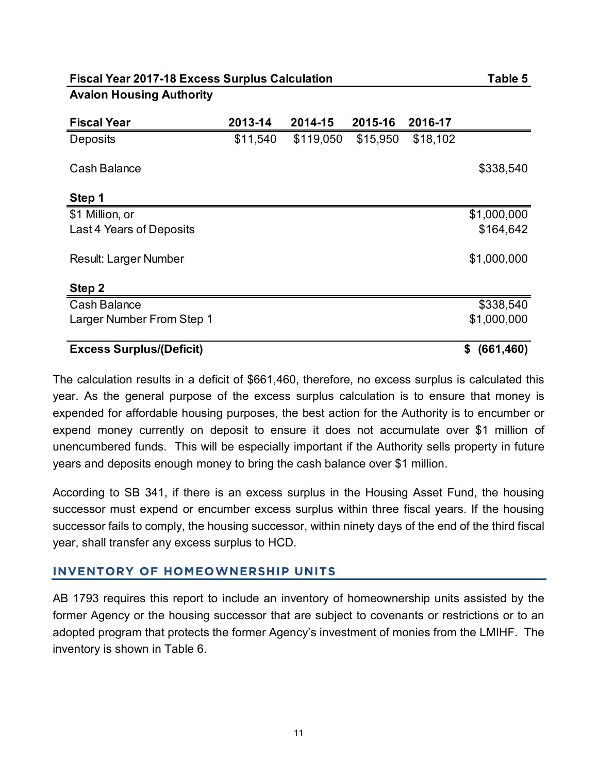### Avalon Housing Authority

| <b>Fiscal Year 2017-18 Excess Surplus Calculation</b><br><b>Avalon Housing Authority</b> |          |           |          |          | Table 5                     |
|------------------------------------------------------------------------------------------|----------|-----------|----------|----------|-----------------------------|
|                                                                                          |          |           |          |          |                             |
| <b>Fiscal Year</b>                                                                       | 2013-14  | 2014-15   | 2015-16  | 2016-17  |                             |
| Deposits                                                                                 | \$11,540 | \$119,050 | \$15,950 | \$18,102 |                             |
| <b>Cash Balance</b>                                                                      |          |           |          |          | \$338,540                   |
|                                                                                          |          |           |          |          |                             |
| Step 1                                                                                   |          |           |          |          |                             |
| \$1 Million, or<br>Last 4 Years of Deposits                                              |          |           |          |          | \$1,000,000<br>\$164,642    |
|                                                                                          |          |           |          |          |                             |
|                                                                                          |          |           |          |          | \$1,000,000                 |
| Result: Larger Number                                                                    |          |           |          |          |                             |
|                                                                                          |          |           |          |          | \$338,540                   |
| Step 2<br><b>Cash Balance</b>                                                            |          |           |          |          |                             |
| Larger Number From Step 1                                                                |          |           |          |          |                             |
| <b>Excess Surplus/(Deficit)</b>                                                          |          |           |          |          | \$1,000,000<br>\$ (661,460) |

The calculation results in a deficit of \$661,460, therefore, no excess surplus is calculated this year. As the general purpose of the excess surplus calculation is to ensure that money is expended for affordable housing purposes, the best action for the Authority is to encumber or expend money currently on deposit to ensure it does not accumulate over \$1 million of unencumbered funds. This will be especially important if the Authority sells property in future years and deposits enough money to bring the cash balance over \$1 million.

According to SB 341, if there is an excess surplus in the Housing Asset Fund, the housing successor must expend or encumber excess surplus within three fiscal years. If the housing successor fails to comply, the housing successor, within ninety days of the end of the third fiscal year, shall transfer any excess surplus to HCD.

### INVENTORY OF HOMEOWNERSHIP UNITS

AB 1793 requires this report to include an inventory of homeownership units assisted by the former Agency or the housing successor that are subject to covenants or restrictions or to an adopted program that protects the former Agency's investment of monies from the LMIHF. The inventory is shown in Table 6.